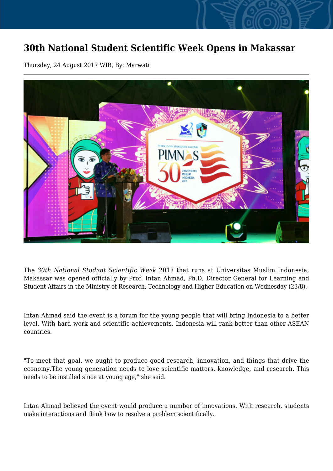## **30th National Student Scientific Week Opens in Makassar**

Thursday, 24 August 2017 WIB, By: Marwati



The *30th National Student Scientific Week* 2017 that runs at Universitas Muslim Indonesia, Makassar was opened officially by Prof. Intan Ahmad, Ph.D, Director General for Learning and Student Affairs in the Ministry of Research, Technology and Higher Education on Wednesday (23/8).

Intan Ahmad said the event is a forum for the young people that will bring Indonesia to a better level. With hard work and scientific achievements, Indonesia will rank better than other ASEAN countries.

"To meet that goal, we ought to produce good research, innovation, and things that drive the economy.The young generation needs to love scientific matters, knowledge, and research. This needs to be instilled since at young age," she said.

Intan Ahmad believed the event would produce a number of innovations. With research, students make interactions and think how to resolve a problem scientifically.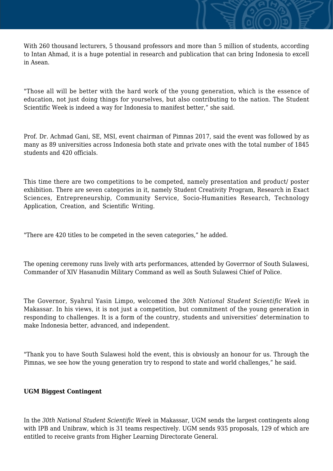With 260 thousand lecturers, 5 thousand professors and more than 5 million of students, according to Intan Ahmad, it is a huge potential in research and publication that can bring Indonesia to excell in Asean.

"Those all will be better with the hard work of the young generation, which is the essence of education, not just doing things for yourselves, but also contributing to the nation. The Student Scientific Week is indeed a way for Indonesia to manifest better," she said.

Prof. Dr. Achmad Gani, SE, MSI, event chairman of Pimnas 2017, said the event was followed by as many as 89 universities across Indonesia both state and private ones with the total number of 1845 students and 420 officials.

This time there are two competitions to be competed, namely presentation and product/ poster exhibition. There are seven categories in it, namely Student Creativity Program, Research in Exact Sciences, Entrepreneurship, Community Service, Socio-Humanities Research, Technology Application, Creation, and Scientific Writing.

"There are 420 titles to be competed in the seven categories," he added.

The opening ceremony runs lively with arts performances, attended by Goverrnor of South Sulawesi, Commander of XIV Hasanudin Military Command as well as South Sulawesi Chief of Police.

The Governor, Syahrul Yasin Limpo, welcomed the *30th National Student Scientific Week* in Makassar. In his views, it is not just a competition, but commitment of the young generation in responding to challenges. It is a form of the country, students and universities' determination to make Indonesia better, advanced, and independent.

"Thank you to have South Sulawesi hold the event, this is obviously an honour for us. Through the Pimnas, we see how the young generation try to respond to state and world challenges," he said.

## **UGM Biggest Contingent**

In the *30th National Student Scientific Week* in Makassar, UGM sends the largest contingents along with IPB and Unibraw, which is 31 teams respectively. UGM sends 935 proposals, 129 of which are entitled to receive grants from Higher Learning Directorate General.